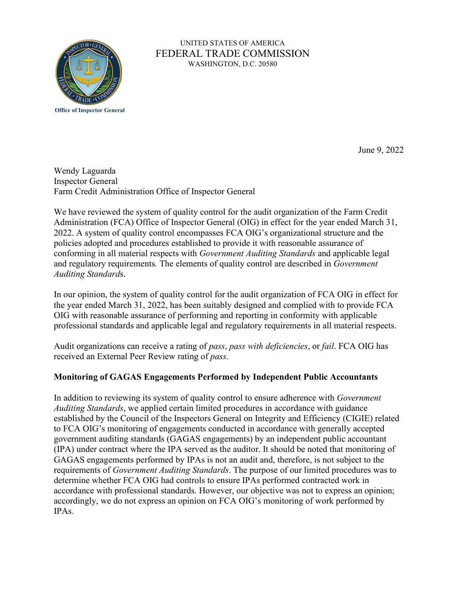

## UNITED STATES OF AMERICA FEDERAL TRADE COMMISSION WASHINGTON, D.C. 20580

June 9, 2022

Wendy Laguarda Inspector General Farm Credit Administration Office of Inspector General

 Administration (FCA) Office of Inspector General (OIG) in effect for the year ended March 31, 2022. A system of quality control encompasses FCA OIG's organizational structure and the policies adopted and procedures established to provide it with reasonable assurance of We have reviewed the system of quality control for the audit organization of the Farm Credit conforming in all material respects with *Government Auditing Standards* and applicable legal and regulatory requirements*.* The elements of quality control are described in *Government Auditing Standard*s.

 In our opinion, the system of quality control for the audit organization of FCA OIG in effect for the year ended March 31, 2022, has been suitably designed and complied with to provide FCA OIG with reasonable assurance of performing and reporting in conformity with applicable professional standards and applicable legal and regulatory requirements in all material respects.

 Audit organizations can receive a rating of *pass*, *pass with deficiencies*, or *fail*. FCA OIG has received an External Peer Review rating of *pass*.

# **Monitoring of GAGAS Engagements Performed by Independent Public Accountants**

In addition to reviewing its system of quality control to ensure adherence with *Government Auditing Standards*, we applied certain limited procedures in accordance with guidance established by the Council of the Inspectors General on Integrity and Efficiency (CIGIE) related to FCA OIG's monitoring of engagements conducted in accordance with generally accepted government auditing standards (GAGAS engagements) by an independent public accountant (IPA) under contract where the IPA served as the auditor. It should be noted that monitoring of GAGAS engagements performed by IPAs is not an audit and, therefore, is not subject to the requirements of *Government Auditing Standards*. The purpose of our limited procedures was to determine whether FCA OIG had controls to ensure IPAs performed contracted work in accordance with professional standards. However, our objective was not to express an opinion; accordingly, we do not express an opinion on FCA OIG's monitoring of work performed by IPAs.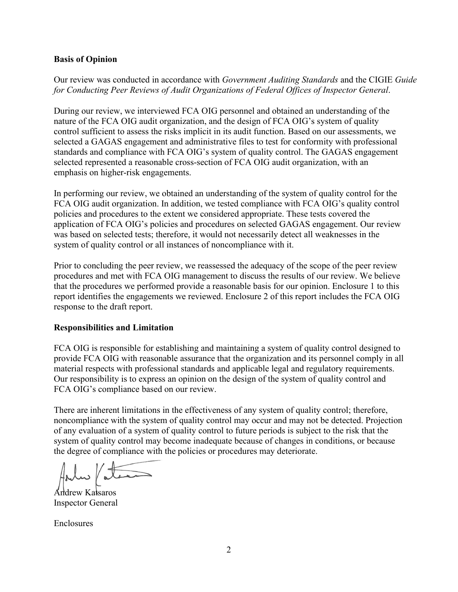## **Basis of Opinion**

Our review was conducted in accordance with *Government Auditing Standards* and the CIGIE *Guide for Conducting Peer Reviews of Audit Organizations of Federal Offices of Inspector General*.

 nature of the FCA OIG audit organization, and the design of FCA OIG's system of quality selected represented a reasonable cross-section of FCA OIG audit organization, with an During our review, we interviewed FCA OIG personnel and obtained an understanding of the control sufficient to assess the risks implicit in its audit function. Based on our assessments, we selected a GAGAS engagement and administrative files to test for conformity with professional standards and compliance with FCA OIG's system of quality control. The GAGAS engagement emphasis on higher-risk engagements.

 application of FCA OIG's policies and procedures on selected GAGAS engagement. Our review In performing our review, we obtained an understanding of the system of quality control for the FCA OIG audit organization. In addition, we tested compliance with FCA OIG's quality control policies and procedures to the extent we considered appropriate. These tests covered the was based on selected tests; therefore, it would not necessarily detect all weaknesses in the system of quality control or all instances of noncompliance with it.

 report identifies the engagements we reviewed. Enclosure 2 of this report includes the FCA OIG Prior to concluding the peer review, we reassessed the adequacy of the scope of the peer review procedures and met with FCA OIG management to discuss the results of our review. We believe that the procedures we performed provide a reasonable basis for our opinion. Enclosure 1 to this response to the draft report.

#### **Responsibilities and Limitation**

 material respects with professional standards and applicable legal and regulatory requirements. FCA OIG is responsible for establishing and maintaining a system of quality control designed to provide FCA OIG with reasonable assurance that the organization and its personnel comply in all Our responsibility is to express an opinion on the design of the system of quality control and FCA OIG's compliance based on our review.

There are inherent limitations in the effectiveness of any system of quality control; therefore, noncompliance with the system of quality control may occur and may not be detected. Projection of any evaluation of a system of quality control to future periods is subject to the risk that the system of quality control may become inadequate because of changes in conditions, or because the degree of compliance with the policies or procedures may deteriorate.

Inspector General Andrew Katsaros

Enclosures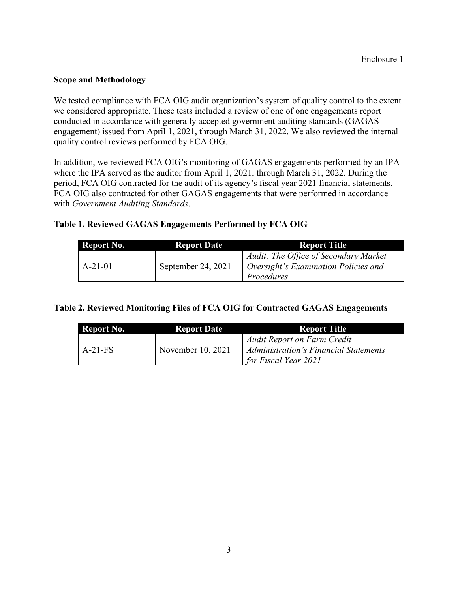## **Scope and Methodology**

 we considered appropriate. These tests included a review of one of one engagements report We tested compliance with FCA OIG audit organization's system of quality control to the extent conducted in accordance with generally accepted government auditing standards (GAGAS engagement) issued from April 1, 2021, through March 31, 2022. We also reviewed the internal quality control reviews performed by FCA OIG.

In addition, we reviewed FCA OIG's monitoring of GAGAS engagements performed by an IPA where the IPA served as the auditor from April 1, 2021, through March 31, 2022. During the period, FCA OIG contracted for the audit of its agency's fiscal year 2021 financial statements. FCA OIG also contracted for other GAGAS engagements that were performed in accordance with *Government Auditing Standards*.

# **Table 1. Reviewed GAGAS Engagements Performed by FCA OIG**

| Report No. | <b>Report Date</b> | <b>Report Title</b>                                                                         |
|------------|--------------------|---------------------------------------------------------------------------------------------|
| $A-21-01$  | September 24, 2021 | Audit: The Office of Secondary Market<br>Oversight's Examination Policies and<br>Procedures |

| Table 2. Reviewed Monitoring Files of FCA OIG for Contracted GAGAS Engagements |                    |                                                                                                            |
|--------------------------------------------------------------------------------|--------------------|------------------------------------------------------------------------------------------------------------|
| Report No.                                                                     | <b>Report Date</b> | <b>Report Title</b>                                                                                        |
| $A-21-FS$                                                                      | November 10, 2021  | <b>Audit Report on Farm Credit</b><br><b>Administration's Financial Statements</b><br>for Fiscal Year 2021 |